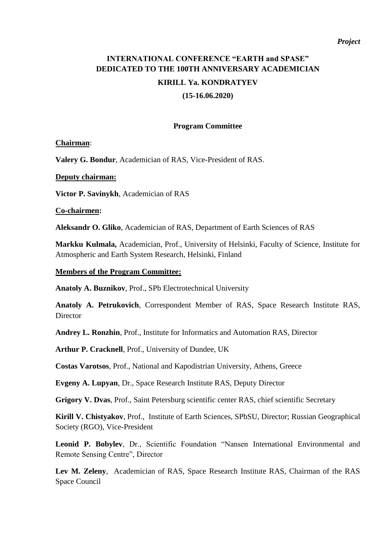#### *Project*

# **INTERNATIONAL CONFERENCE "EARTH and SPASE" DEDICATED TO THE 100TH ANNIVERSARY ACADEMICIAN**

## **KIRILL Ya. KONDRATYEV**

**(15-16.06.2020)**

#### **Program Committee**

#### **Chairman**:

**Valery G. Bondur**, Academician of RAS, Vice-President of RAS.

#### **Deputy chairman:**

**Victor P. Savinykh**, Academician of RAS

#### **Co-chairmen:**

**Aleksandr O. Gliko**, Academician of RAS, Department of Earth Sciences of RAS

**Markku Kulmala,** Academician, Prof., University of Helsinki, Faculty of Science, Institute for Atmospheric and Earth System Research, Helsinki, Finland

#### **Members of the Program Committee:**

**Anatoly A. Buznikov**, Prof., SPb Electrotechnical University

**Anatoly A. Petrukovich**, Correspondent Member of RAS, Space Research Institute RAS, **Director** 

**Andrey L. Ronzhin**, Prof., Institute for Informatics and Automation RAS, Director

**Arthur P. Cracknell**, Prof., University of Dundee, UK

**Costas Varotsos**, Prof., National and Kapodistrian University, Athens, Greece

**Evgeny A. Lupyan**, Dr., Space Research Institute RAS, Deputy Director

**Grigory V. Dvas**, Prof., Saint Petersburg scientific center RAS, chief scientific Secretary

**Kirill V. Chistyakov**, Prof., Institute of Earth Sciences, SPbSU, Director; Russian Geographical Society (RGO), Vice-President

**Leonid P. Bobylev**, Dr., Scientific Foundation "Nansen International Environmental and Remote Sensing Centre", Director

**Lev M. Zeleny**, Academician of RAS, Space Research Institute RAS, Chairman of the RAS Space Council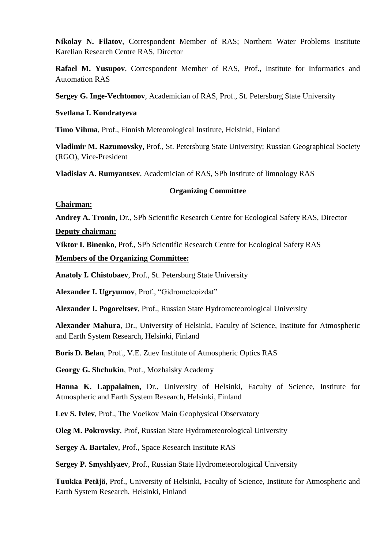**Nikolay N. Filatov**, Correspondent Member of RAS; Northern Water Problems Institute Karelian Research Centre RAS, Director

**Rafael M. Yusupov**, Correspondent Member of RAS, Prof., Institute for Informatics and Automation RAS

**Sergey G. Inge-Vechtomov**, Academician of RAS, Prof., St. Petersburg State University

## **Svetlana I. Kondratyeva**

**Timo Vihma**, Prof., Finnish Meteorological Institute, Helsinki, Finland

**Vladimir M. Razumovsky**, Prof., St. Petersburg State University; Russian Geographical Society (RGO), Vice-President

**Vladislav A. Rumyantsev**, Academician of RAS, SPb Institute of limnology RAS

# **Organizing Committee**

#### **Chairman:**

**Andrey A. Tronin,** Dr., SPb Scientific Research Centre for Ecological Safety RAS, Director

# **Deputy chairman:**

**Viktor I. Binenko**, Prof., SPb Scientific Research Centre for Ecological Safety RAS

# **Members of the Organizing Committee:**

**Anatoly I. Chistobaev**, Prof., St. Petersburg State University

**Alexander I. Ugryumov**, Prof., "Gidrometeoizdat"

**Alexander I. Pogoreltsev**, Prof., Russian State Hydrometeorological University

**Alexander Mahura**, Dr., University of Helsinki, Faculty of Science, Institute for Atmospheric and Earth System Research, Helsinki, Finland

**Boris D. Belan**, Prof., V.E. Zuev Institute of Atmospheric Optics RAS

**Georgy G. Shchukin**, Prof., Mozhaisky Academy

**Hanna K. Lappalainen,** Dr., University of Helsinki, Faculty of Science, Institute for Atmospheric and Earth System Research, Helsinki, Finland

**Lev S. Ivlev**, Prof., The Voeikov Main Geophysical Observatory

**Oleg M. Pokrovsky**, Prof, Russian State Hydrometeorological University

**Sergey A. Bartalev**, Prof., Space Research Institute RAS

**Sergey P. Smyshlyaev**, Prof., Russian State Hydrometeorological University

**Tuukka Petäjä,** Prof., University of Helsinki, Faculty of Science, Institute for Atmospheric and Earth System Research, Helsinki, Finland